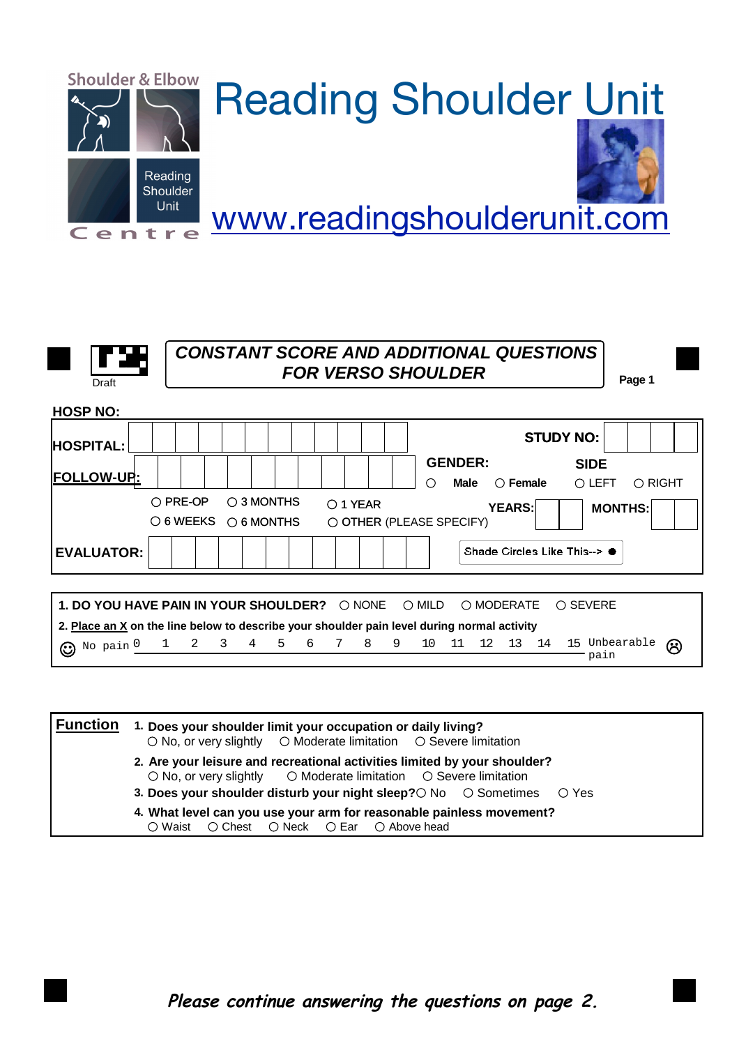

| Draft |  |
|-------|--|

## *CONSTANT SCORE AND ADDITIONAL QUESTIONS FOR VERSO SHOULDER*

**Page 1**

| <b>HOSP NO:</b>   |                   |                                                         |                                               |                                                                                             |                                           |
|-------------------|-------------------|---------------------------------------------------------|-----------------------------------------------|---------------------------------------------------------------------------------------------|-------------------------------------------|
| <b>HOSPITAL:</b>  |                   |                                                         |                                               | <b>STUDY NO:</b>                                                                            |                                           |
| <b>FOLLOW-UP:</b> |                   |                                                         |                                               | <b>GENDER:</b><br>$\bigcirc$ Female<br><b>Male</b><br>∩                                     | <b>SIDE</b><br>O LEFT<br>$\bigcirc$ RIGHT |
|                   | $\bigcirc$ PRE-OP | $\bigcirc$ 3 MONTHS<br>$\circ$ 6 WEEKS $\circ$ 6 MONTHS | $\bigcirc$ 1 YEAR<br>O OTHER (PLEASE SPECIFY) | <b>YEARS:</b>                                                                               | <b>MONTHS:</b>                            |
| <b>EVALUATOR:</b> |                   |                                                         |                                               | Shade Circles Like This--> ●                                                                |                                           |
|                   |                   |                                                         |                                               |                                                                                             |                                           |
|                   |                   | 1. DO YOU HAVE PAIN IN YOUR SHOULDER? O NONE            |                                               | ◯ MILD<br>○ MODERATE                                                                        | $\bigcirc$ SEVERE                         |
|                   |                   |                                                         |                                               | 2. Place an X on the line below to describe your shoulder pain level during normal activity |                                           |
| ⊙                 |                   | No pain 0 1 2 3 4 5                                     | 6 7 8<br>9                                    | 14<br>10 11 12<br>13                                                                        | 15 Unbearable<br>$\odot$<br>pain          |

| $\circ$ No, or very slightly $\circ$ Moderate limitation $\circ$ Severe limitation                                                                              |
|-----------------------------------------------------------------------------------------------------------------------------------------------------------------|
| 2. Are your leisure and recreational activities limited by your shoulder?<br>$\circ$ No, or very slightly $\circ$ Moderate limitation $\circ$ Severe limitation |
| 3. Does your shoulder disturb your night sleep? $\bigcirc$ No $\bigcirc$ Sometimes $\bigcirc$ Yes                                                               |
| 4. What level can you use your arm for reasonable painless movement?<br>○ Waist ○ Chest ○ Neck ○ Ear ○ Above head                                               |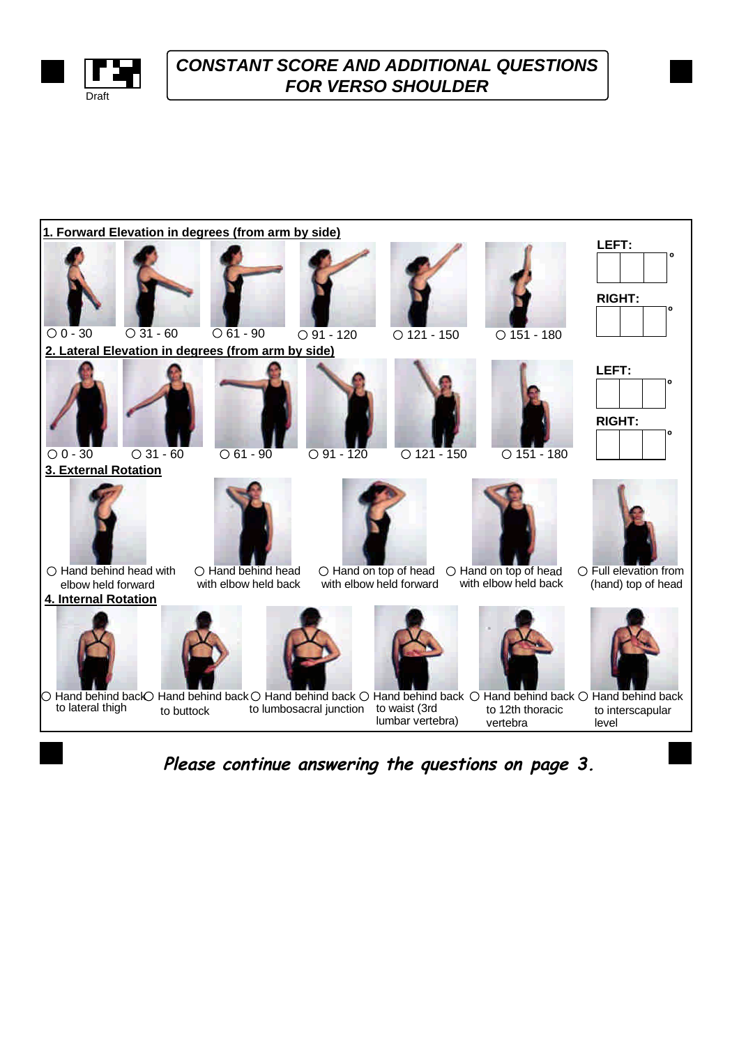

## *CONSTANT SCORE AND ADDITIONAL QUESTIONS* **FOR VERSO SHOULDER**



*Please continue answering the questions on page 3.*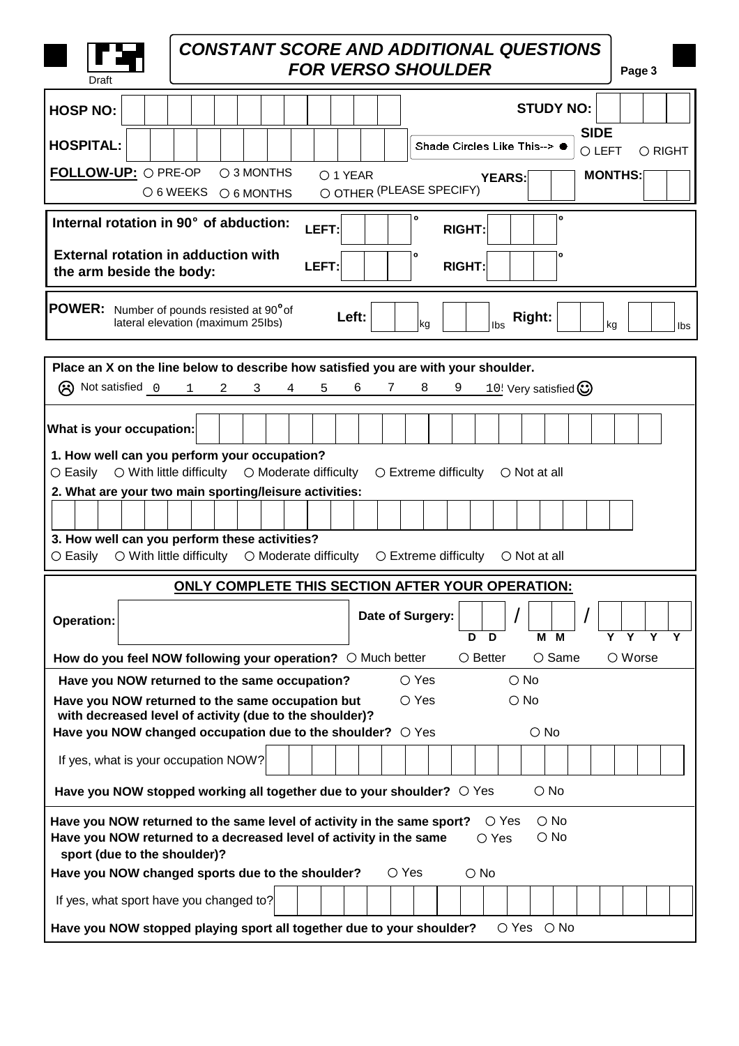| <b>CONSTANT SCORE AND ADDITIONAL QUESTIONS</b><br><b>FOR VERSO SHOULDER</b><br>Page 3<br>Draft                                                                                                                                                  |  |  |  |  |
|-------------------------------------------------------------------------------------------------------------------------------------------------------------------------------------------------------------------------------------------------|--|--|--|--|
| <b>STUDY NO:</b><br><b>HOSP NO:</b>                                                                                                                                                                                                             |  |  |  |  |
| <b>SIDE</b><br><b>HOSPITAL:</b><br>Shade Circles Like This--> ●<br>O LEFT<br>O RIGHT                                                                                                                                                            |  |  |  |  |
| FOLLOW-UP: O PRE-OP<br>$\bigcirc$ 3 MONTHS<br>O 1 YEAR<br><b>MONTHS:</b><br><b>YEARS:</b>                                                                                                                                                       |  |  |  |  |
| O OTHER (PLEASE SPECIFY)<br>○ 6 WEEKS ○ 6 MONTHS                                                                                                                                                                                                |  |  |  |  |
| ١o<br>0<br>Internal rotation in 90° of abduction:<br>LEFT:<br><b>RIGHT:</b>                                                                                                                                                                     |  |  |  |  |
| <b>External rotation in adduction with</b><br>0<br>LEFT:<br><b>RIGHT:</b><br>the arm beside the body:                                                                                                                                           |  |  |  |  |
| <b>POWER:</b> Number of pounds resisted at 90 <sup>°</sup> of<br>Left:<br>Right:<br>lateral elevation (maximum 25lbs)<br> kg<br>Ibs<br>kg<br>Ibs                                                                                                |  |  |  |  |
| Place an X on the line below to describe how satisfied you are with your shoulder.                                                                                                                                                              |  |  |  |  |
| (R) Not satisfied 0 1<br>8<br>9<br>10! Very satisfied $\odot$<br>$\overline{2}$<br>$\mathbf{3}$<br>$4\overline{ }$<br>5<br>6<br>7                                                                                                               |  |  |  |  |
| What is your occupation:<br>1. How well can you perform your occupation?                                                                                                                                                                        |  |  |  |  |
| $\circ$ With little difficulty $\circ$ Moderate difficulty<br>$\circ$ Easily<br>$\circlearrowright$ Extreme difficulty<br>$\bigcirc$ Not at all                                                                                                 |  |  |  |  |
| 2. What are your two main sporting/leisure activities:                                                                                                                                                                                          |  |  |  |  |
| 3. How well can you perform these activities?<br>$\circ$ With little difficulty $\circ$ Moderate difficulty<br>$\circ$ Easily<br>$\circlearrowright$ Extreme difficulty<br>$\bigcirc$ Not at all                                                |  |  |  |  |
| ONLY COMPLETE THIS SECTION AFTER YOUR OPERATION:                                                                                                                                                                                                |  |  |  |  |
| Date of Surgery:<br>Operation:<br>Y<br>Y<br>Y<br>D<br>D<br>м<br>м                                                                                                                                                                               |  |  |  |  |
| How do you feel NOW following your operation? $\circ$ Much better<br>$\bigcirc$ Same<br>$\circ$ Worse<br>$\circ$ Better                                                                                                                         |  |  |  |  |
| $\bigcirc$ Yes<br>$\bigcirc$ No<br>Have you NOW returned to the same occupation?                                                                                                                                                                |  |  |  |  |
| $\bigcirc$ Yes<br>Have you NOW returned to the same occupation but<br>$\bigcirc$ No<br>with decreased level of activity (due to the shoulder)?<br>$\bigcirc$ No<br>Have you NOW changed occupation due to the shoulder? $\circ$ Yes             |  |  |  |  |
| If yes, what is your occupation NOW?                                                                                                                                                                                                            |  |  |  |  |
| Have you NOW stopped working all together due to your shoulder? $\circ$ Yes<br>$\bigcirc$ No                                                                                                                                                    |  |  |  |  |
| Have you NOW returned to the same level of activity in the same sport?<br>$\bigcirc$ No<br>$\circ$ Yes<br>Have you NOW returned to a decreased level of activity in the same<br>$\bigcirc$ No<br>$\bigcirc$ Yes<br>sport (due to the shoulder)? |  |  |  |  |
| $\circ$ Yes<br>Have you NOW changed sports due to the shoulder?<br>$\bigcirc$ No                                                                                                                                                                |  |  |  |  |
| If yes, what sport have you changed to?                                                                                                                                                                                                         |  |  |  |  |
| Have you NOW stopped playing sport all together due to your shoulder?<br>$\circ$ Yes<br>$\bigcirc$ No                                                                                                                                           |  |  |  |  |